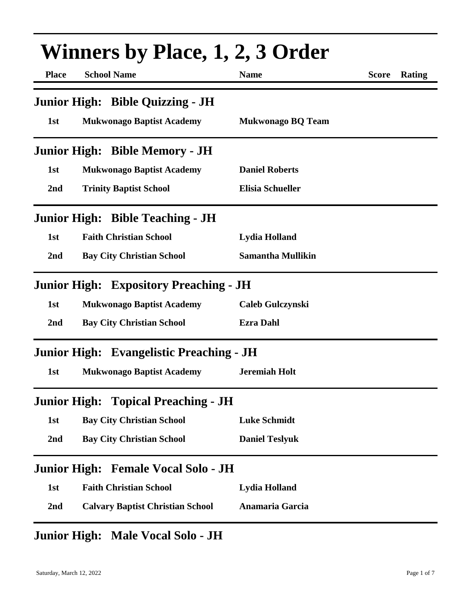| <b>Winners by Place, 1, 2, 3 Order</b> |                                                 |                          |                        |  |  |
|----------------------------------------|-------------------------------------------------|--------------------------|------------------------|--|--|
| <b>Place</b>                           | <b>School Name</b>                              | <b>Name</b>              | <b>Score</b><br>Rating |  |  |
|                                        | Junior High: Bible Quizzing - JH                |                          |                        |  |  |
| 1st                                    | <b>Mukwonago Baptist Academy</b>                | <b>Mukwonago BQ Team</b> |                        |  |  |
|                                        | <b>Junior High: Bible Memory - JH</b>           |                          |                        |  |  |
| 1st                                    | <b>Mukwonago Baptist Academy</b>                | <b>Daniel Roberts</b>    |                        |  |  |
| 2nd                                    | <b>Trinity Baptist School</b>                   | <b>Elisia Schueller</b>  |                        |  |  |
|                                        | <b>Junior High: Bible Teaching - JH</b>         |                          |                        |  |  |
| 1st                                    | <b>Faith Christian School</b>                   | <b>Lydia Holland</b>     |                        |  |  |
| 2nd                                    | <b>Bay City Christian School</b>                | <b>Samantha Mullikin</b> |                        |  |  |
|                                        | <b>Junior High: Expository Preaching - JH</b>   |                          |                        |  |  |
| 1st                                    | <b>Mukwonago Baptist Academy</b>                | <b>Caleb Gulczynski</b>  |                        |  |  |
| 2nd                                    | <b>Bay City Christian School</b>                | <b>Ezra Dahl</b>         |                        |  |  |
|                                        | <b>Junior High: Evangelistic Preaching - JH</b> |                          |                        |  |  |
| 1st                                    | <b>Mukwonago Baptist Academy</b>                | <b>Jeremiah Holt</b>     |                        |  |  |
|                                        | <b>Junior High: Topical Preaching - JH</b>      |                          |                        |  |  |
| 1st                                    | <b>Bay City Christian School</b>                | <b>Luke Schmidt</b>      |                        |  |  |
| 2nd                                    | <b>Bay City Christian School</b>                | <b>Daniel Teslyuk</b>    |                        |  |  |
|                                        | Junior High: Female Vocal Solo - JH             |                          |                        |  |  |
| 1st                                    | <b>Faith Christian School</b>                   | <b>Lydia Holland</b>     |                        |  |  |
| 2nd                                    | <b>Calvary Baptist Christian School</b>         | <b>Anamaria Garcia</b>   |                        |  |  |
|                                        |                                                 |                          |                        |  |  |

## **Junior High: Male Vocal Solo - JH**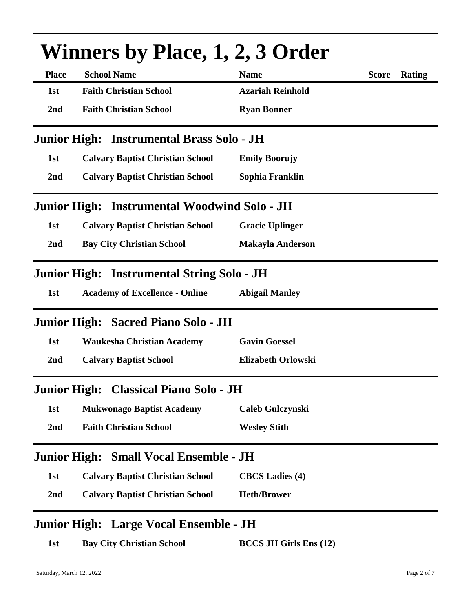| <b>Winners by Place, 1, 2, 3 Order</b> |                                              |                               |              |               |  |
|----------------------------------------|----------------------------------------------|-------------------------------|--------------|---------------|--|
| <b>Place</b>                           | <b>School Name</b>                           | <b>Name</b>                   | <b>Score</b> | <b>Rating</b> |  |
| 1st                                    | <b>Faith Christian School</b>                | <b>Azariah Reinhold</b>       |              |               |  |
| 2nd                                    | <b>Faith Christian School</b>                | <b>Ryan Bonner</b>            |              |               |  |
|                                        | Junior High: Instrumental Brass Solo - JH    |                               |              |               |  |
| 1st                                    | <b>Calvary Baptist Christian School</b>      | <b>Emily Boorujy</b>          |              |               |  |
| 2nd                                    | <b>Calvary Baptist Christian School</b>      | Sophia Franklin               |              |               |  |
|                                        | Junior High: Instrumental Woodwind Solo - JH |                               |              |               |  |
| 1st                                    | <b>Calvary Baptist Christian School</b>      | <b>Gracie Uplinger</b>        |              |               |  |
| 2nd                                    | <b>Bay City Christian School</b>             | <b>Makayla Anderson</b>       |              |               |  |
|                                        | Junior High: Instrumental String Solo - JH   |                               |              |               |  |
| 1st                                    | <b>Academy of Excellence - Online</b>        | <b>Abigail Manley</b>         |              |               |  |
|                                        | Junior High: Sacred Piano Solo - JH          |                               |              |               |  |
| 1st                                    | <b>Waukesha Christian Academy</b>            | <b>Gavin Goessel</b>          |              |               |  |
| 2nd                                    | <b>Calvary Baptist School</b>                | <b>Elizabeth Orlowski</b>     |              |               |  |
|                                        | Junior High: Classical Piano Solo - JH       |                               |              |               |  |
| 1st                                    | <b>Mukwonago Baptist Academy</b>             | <b>Caleb Gulczynski</b>       |              |               |  |
| 2nd                                    | <b>Faith Christian School</b>                | <b>Wesley Stith</b>           |              |               |  |
|                                        | Junior High: Small Vocal Ensemble - JH       |                               |              |               |  |
| 1st                                    | <b>Calvary Baptist Christian School</b>      | <b>CBCS</b> Ladies (4)        |              |               |  |
| 2nd                                    | <b>Calvary Baptist Christian School</b>      | <b>Heth/Brower</b>            |              |               |  |
|                                        | Junior High: Large Vocal Ensemble - JH       |                               |              |               |  |
| 1st                                    | <b>Bay City Christian School</b>             | <b>BCCS JH Girls Ens (12)</b> |              |               |  |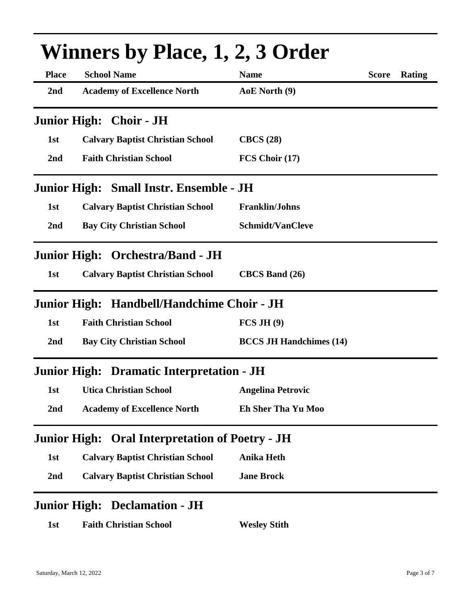| <b>Winners by Place, 1, 2, 3 Order</b> |                                            |                                |              |        |  |
|----------------------------------------|--------------------------------------------|--------------------------------|--------------|--------|--|
| <b>Place</b>                           | <b>School Name</b>                         | <b>Name</b>                    | <b>Score</b> | Rating |  |
| 2 <sub>nd</sub>                        | <b>Academy of Excellence North</b>         | AoE North (9)                  |              |        |  |
|                                        | Junior High: Choir - JH                    |                                |              |        |  |
| 1st                                    | <b>Calvary Baptist Christian School</b>    | CBCS(28)                       |              |        |  |
| 2 <sub>nd</sub>                        | <b>Faith Christian School</b>              | FCS Choir (17)                 |              |        |  |
|                                        | Junior High: Small Instr. Ensemble - JH    |                                |              |        |  |
| 1st                                    | <b>Calvary Baptist Christian School</b>    | <b>Franklin/Johns</b>          |              |        |  |
| 2nd                                    | <b>Bay City Christian School</b>           | <b>Schmidt/VanCleve</b>        |              |        |  |
|                                        | Junior High: Orchestra/Band - JH           |                                |              |        |  |
| 1st                                    | <b>Calvary Baptist Christian School</b>    | <b>CBCS</b> Band (26)          |              |        |  |
|                                        | Junior High: Handbell/Handchime Choir - JH |                                |              |        |  |
| 1st                                    | <b>Faith Christian School</b>              | FCS JH(9)                      |              |        |  |
| 2 <sub>nd</sub>                        | <b>Bay City Christian School</b>           | <b>BCCS JH Handchimes (14)</b> |              |        |  |
|                                        | Junior High: Dramatic Interpretation - JH  |                                |              |        |  |
| 1st                                    | <b>Utica Christian School</b>              | <b>Angelina Petrovic</b>       |              |        |  |
| 2nd                                    | <b>Academy of Excellence North</b>         | <b>Eh Sher Tha Yu Moo</b>      |              |        |  |
| <b>Junior High:</b>                    | <b>Oral Interpretation of Poetry - JH</b>  |                                |              |        |  |
| 1st                                    | <b>Calvary Baptist Christian School</b>    | <b>Anika Heth</b>              |              |        |  |
| 2nd                                    | <b>Calvary Baptist Christian School</b>    | <b>Jane Brock</b>              |              |        |  |
|                                        | <b>Junior High: Declamation - JH</b>       |                                |              |        |  |
| 1st                                    | <b>Faith Christian School</b>              | <b>Wesley Stith</b>            |              |        |  |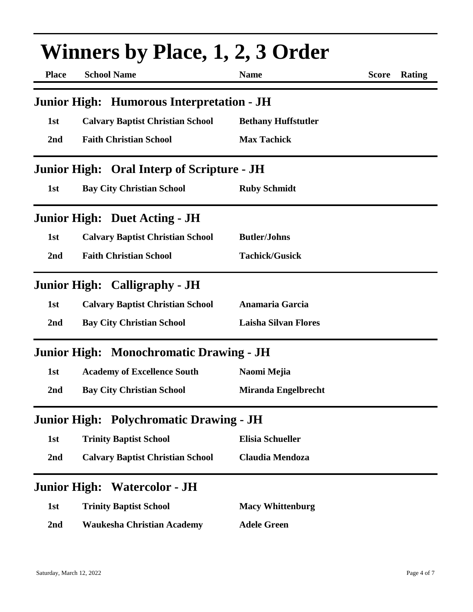| <b>Winners by Place, 1, 2, 3 Order</b> |                                                   |                             |              |        |  |
|----------------------------------------|---------------------------------------------------|-----------------------------|--------------|--------|--|
| <b>Place</b>                           | <b>School Name</b>                                | <b>Name</b>                 | <b>Score</b> | Rating |  |
|                                        | Junior High: Humorous Interpretation - JH         |                             |              |        |  |
| 1st                                    | <b>Calvary Baptist Christian School</b>           | <b>Bethany Huffstutler</b>  |              |        |  |
| 2nd                                    | <b>Faith Christian School</b>                     | <b>Max Tachick</b>          |              |        |  |
|                                        | <b>Junior High: Oral Interp of Scripture - JH</b> |                             |              |        |  |
| 1st                                    | <b>Bay City Christian School</b>                  | <b>Ruby Schmidt</b>         |              |        |  |
|                                        | <b>Junior High: Duet Acting - JH</b>              |                             |              |        |  |
| 1st                                    | <b>Calvary Baptist Christian School</b>           | <b>Butler/Johns</b>         |              |        |  |
| 2nd                                    | <b>Faith Christian School</b>                     | <b>Tachick/Gusick</b>       |              |        |  |
|                                        | <b>Junior High: Calligraphy - JH</b>              |                             |              |        |  |
| 1st                                    | <b>Calvary Baptist Christian School</b>           | Anamaria Garcia             |              |        |  |
| 2nd                                    | <b>Bay City Christian School</b>                  | <b>Laisha Silvan Flores</b> |              |        |  |
|                                        | <b>Junior High: Monochromatic Drawing - JH</b>    |                             |              |        |  |
| 1st                                    | <b>Academy of Excellence South</b>                | Naomi Mejia                 |              |        |  |
| 2 <sub>nd</sub>                        | <b>Bay City Christian School</b>                  | <b>Miranda Engelbrecht</b>  |              |        |  |
| <b>Junior High:</b>                    | <b>Polychromatic Drawing - JH</b>                 |                             |              |        |  |
| 1st                                    | <b>Trinity Baptist School</b>                     | <b>Elisia Schueller</b>     |              |        |  |
| 2nd                                    | <b>Calvary Baptist Christian School</b>           | <b>Claudia Mendoza</b>      |              |        |  |
|                                        | <b>Junior High: Watercolor - JH</b>               |                             |              |        |  |
| 1st                                    | <b>Trinity Baptist School</b>                     | <b>Macy Whittenburg</b>     |              |        |  |
| 2nd                                    | <b>Waukesha Christian Academy</b>                 | <b>Adele Green</b>          |              |        |  |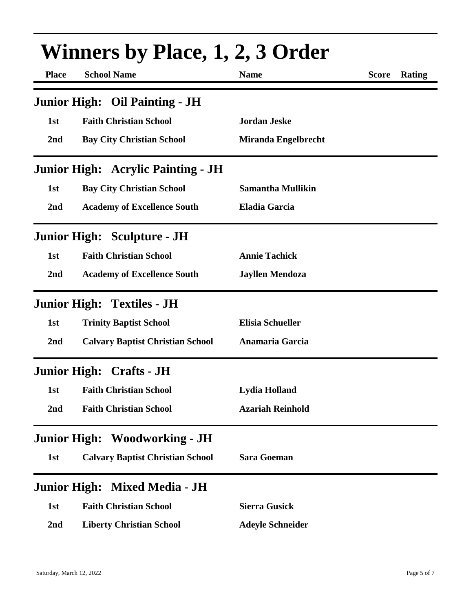| <b>Winners by Place, 1, 2, 3 Order</b> |                                           |                            |              |        |  |
|----------------------------------------|-------------------------------------------|----------------------------|--------------|--------|--|
| <b>Place</b>                           | <b>School Name</b>                        | <b>Name</b>                | <b>Score</b> | Rating |  |
|                                        | <b>Junior High: Oil Painting - JH</b>     |                            |              |        |  |
| 1st                                    | <b>Faith Christian School</b>             | <b>Jordan Jeske</b>        |              |        |  |
| 2nd                                    | <b>Bay City Christian School</b>          | <b>Miranda Engelbrecht</b> |              |        |  |
|                                        | <b>Junior High: Acrylic Painting - JH</b> |                            |              |        |  |
| 1st                                    | <b>Bay City Christian School</b>          | <b>Samantha Mullikin</b>   |              |        |  |
| 2nd                                    | <b>Academy of Excellence South</b>        | <b>Eladia Garcia</b>       |              |        |  |
|                                        | <b>Junior High: Sculpture - JH</b>        |                            |              |        |  |
| 1st                                    | <b>Faith Christian School</b>             | <b>Annie Tachick</b>       |              |        |  |
| 2nd                                    | <b>Academy of Excellence South</b>        | <b>Jayllen Mendoza</b>     |              |        |  |
|                                        | <b>Junior High: Textiles - JH</b>         |                            |              |        |  |
| 1st                                    | <b>Trinity Baptist School</b>             | <b>Elisia Schueller</b>    |              |        |  |
| 2nd                                    | <b>Calvary Baptist Christian School</b>   | Anamaria Garcia            |              |        |  |
|                                        | <b>Junior High: Crafts - JH</b>           |                            |              |        |  |
| 1st                                    | <b>Faith Christian School</b>             | <b>Lydia Holland</b>       |              |        |  |
| 2nd                                    | <b>Faith Christian School</b>             | <b>Azariah Reinhold</b>    |              |        |  |
|                                        | <b>Junior High: Woodworking - JH</b>      |                            |              |        |  |
| 1st                                    | <b>Calvary Baptist Christian School</b>   | <b>Sara Goeman</b>         |              |        |  |
|                                        | Junior High: Mixed Media - JH             |                            |              |        |  |
| 1st                                    | <b>Faith Christian School</b>             | <b>Sierra Gusick</b>       |              |        |  |
| 2nd                                    | <b>Liberty Christian School</b>           | <b>Adeyle Schneider</b>    |              |        |  |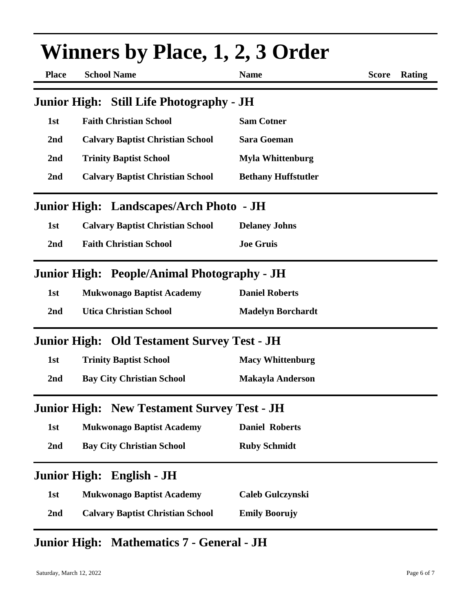| <b>Winners by Place, 1, 2, 3 Order</b> |                                                    |                            |              |        |
|----------------------------------------|----------------------------------------------------|----------------------------|--------------|--------|
| <b>Place</b>                           | <b>School Name</b>                                 | <b>Name</b>                | <b>Score</b> | Rating |
|                                        | <b>Junior High: Still Life Photography - JH</b>    |                            |              |        |
| 1st                                    | <b>Faith Christian School</b>                      | <b>Sam Cotner</b>          |              |        |
| 2nd                                    | <b>Calvary Baptist Christian School</b>            | <b>Sara Goeman</b>         |              |        |
| 2 <sub>nd</sub>                        | <b>Trinity Baptist School</b>                      | <b>Myla Whittenburg</b>    |              |        |
| 2nd                                    | <b>Calvary Baptist Christian School</b>            | <b>Bethany Huffstutler</b> |              |        |
|                                        | Junior High: Landscapes/Arch Photo - JH            |                            |              |        |
| 1st                                    | <b>Calvary Baptist Christian School</b>            | <b>Delaney Johns</b>       |              |        |
| 2nd                                    | <b>Faith Christian School</b>                      | <b>Joe Gruis</b>           |              |        |
|                                        | <b>Junior High: People/Animal Photography - JH</b> |                            |              |        |
| 1st                                    | <b>Mukwonago Baptist Academy</b>                   | <b>Daniel Roberts</b>      |              |        |
| 2nd                                    | <b>Utica Christian School</b>                      | <b>Madelyn Borchardt</b>   |              |        |
|                                        | <b>Junior High: Old Testament Survey Test - JH</b> |                            |              |        |
| 1st                                    | <b>Trinity Baptist School</b>                      | <b>Macy Whittenburg</b>    |              |        |
| 2 <sub>nd</sub>                        | <b>Bay City Christian School</b>                   | <b>Makayla Anderson</b>    |              |        |
|                                        | <b>Junior High: New Testament Survey Test - JH</b> |                            |              |        |
| 1st                                    | <b>Mukwonago Baptist Academy</b>                   | <b>Daniel Roberts</b>      |              |        |
| 2nd                                    | <b>Bay City Christian School</b>                   | <b>Ruby Schmidt</b>        |              |        |
|                                        | Junior High: English - JH                          |                            |              |        |
| 1st                                    | <b>Mukwonago Baptist Academy</b>                   | <b>Caleb Gulczynski</b>    |              |        |
| 2 <sub>nd</sub>                        | <b>Calvary Baptist Christian School</b>            | <b>Emily Boorujy</b>       |              |        |

## **Junior High: Mathematics 7 - General - JH**